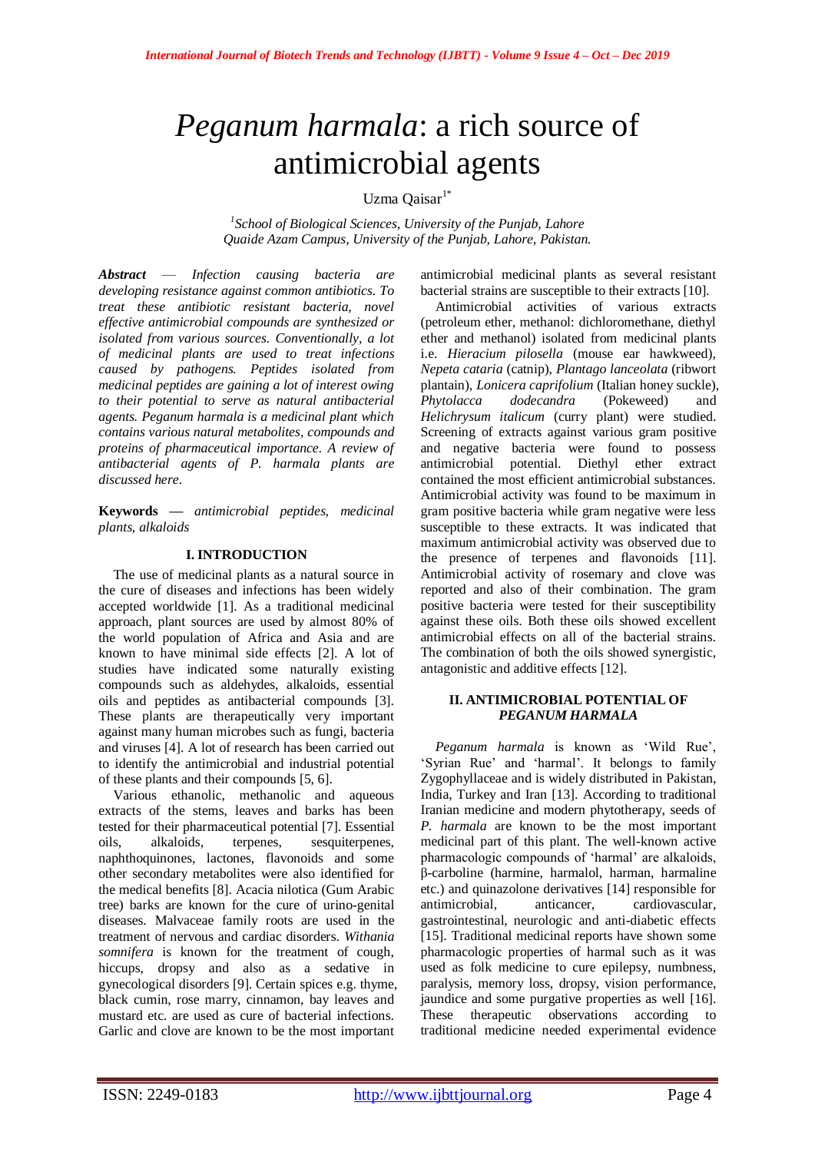# *Peganum harmala*: a rich source of antimicrobial agents

Uzma  $\mathrm{O}a$ isar $^{1*}$ 

*1 School of Biological Sciences, University of the Punjab, Lahore Quaide Azam Campus, University of the Punjab, Lahore, Pakistan.*

*Abstract* — *Infection causing bacteria are developing resistance against common antibiotics. To treat these antibiotic resistant bacteria, novel effective antimicrobial compounds are synthesized or isolated from various sources. Conventionally, a lot of medicinal plants are used to treat infections caused by pathogens. Peptides isolated from medicinal peptides are gaining a lot of interest owing to their potential to serve as natural antibacterial agents. Peganum harmala is a medicinal plant which contains various natural metabolites, compounds and proteins of pharmaceutical importance. A review of antibacterial agents of P. harmala plants are discussed here.*

**Keywords** *— antimicrobial peptides, medicinal plants, alkaloids*

# **I. INTRODUCTION**

The use of medicinal plants as a natural source in the cure of diseases and infections has been widely accepted worldwide [1]. As a traditional medicinal approach, plant sources are used by almost 80% of the world population of Africa and Asia and are known to have minimal side effects [2]. A lot of studies have indicated some naturally existing compounds such as aldehydes, alkaloids, essential oils and peptides as antibacterial compounds [3]. These plants are therapeutically very important against many human microbes such as fungi, bacteria and viruses [4]. A lot of research has been carried out to identify the antimicrobial and industrial potential of these plants and their compounds [5, 6].

Various ethanolic, methanolic and aqueous extracts of the stems, leaves and barks has been tested for their pharmaceutical potential [7]. Essential oils, alkaloids, terpenes, sesquiterpenes, naphthoquinones, lactones, flavonoids and some other secondary metabolites were also identified for the medical benefits [8]. Acacia nilotica (Gum Arabic tree) barks are known for the cure of urino-genital diseases. Malvaceae family roots are used in the treatment of nervous and cardiac disorders. *Withania somnifera* is known for the treatment of cough, hiccups, dropsy and also as a sedative in gynecological disorders [9]. Certain spices e.g. thyme, black cumin, rose marry, cinnamon, bay leaves and mustard etc. are used as cure of bacterial infections. Garlic and clove are known to be the most important

antimicrobial medicinal plants as several resistant bacterial strains are susceptible to their extracts [10].

Antimicrobial activities of various extracts (petroleum ether, methanol: dichloromethane, diethyl ether and methanol) isolated from medicinal plants i.e. *Hieracium pilosella* (mouse ear hawkweed), *Nepeta cataria* (catnip), *Plantago lanceolata* (ribwort plantain), *Lonicera caprifolium* (Italian honey suckle), *Phytolacca dodecandra* (Pokeweed) and *Helichrysum italicum* (curry plant) were studied. Screening of extracts against various gram positive and negative bacteria were found to possess antimicrobial potential. Diethyl ether extract contained the most efficient antimicrobial substances. Antimicrobial activity was found to be maximum in gram positive bacteria while gram negative were less susceptible to these extracts. It was indicated that maximum antimicrobial activity was observed due to the presence of terpenes and flavonoids [11]. Antimicrobial activity of rosemary and clove was reported and also of their combination. The gram positive bacteria were tested for their susceptibility against these oils. Both these oils showed excellent antimicrobial effects on all of the bacterial strains. The combination of both the oils showed synergistic, antagonistic and additive effects [12].

## **II. ANTIMICROBIAL POTENTIAL OF** *PEGANUM HARMALA*

*Peganum harmala* is known as 'Wild Rue', 'Syrian Rue' and 'harmal'. It belongs to family Zygophyllaceae and is widely distributed in Pakistan, India, Turkey and Iran [13]. According to traditional Iranian medicine and modern phytotherapy, seeds of *P. harmala* are known to be the most important medicinal part of this plant. The well-known active pharmacologic compounds of 'harmal' are alkaloids, β-carboline (harmine, harmalol, harman, harmaline etc.) and quinazolone derivatives [14] responsible for antimicrobial, anticancer, cardiovascular, gastrointestinal, neurologic and anti-diabetic effects [15]. Traditional medicinal reports have shown some pharmacologic properties of harmal such as it was used as folk medicine to cure epilepsy, numbness, paralysis, memory loss, dropsy, vision performance, jaundice and some purgative properties as well [16]. These therapeutic observations according to traditional medicine needed experimental evidence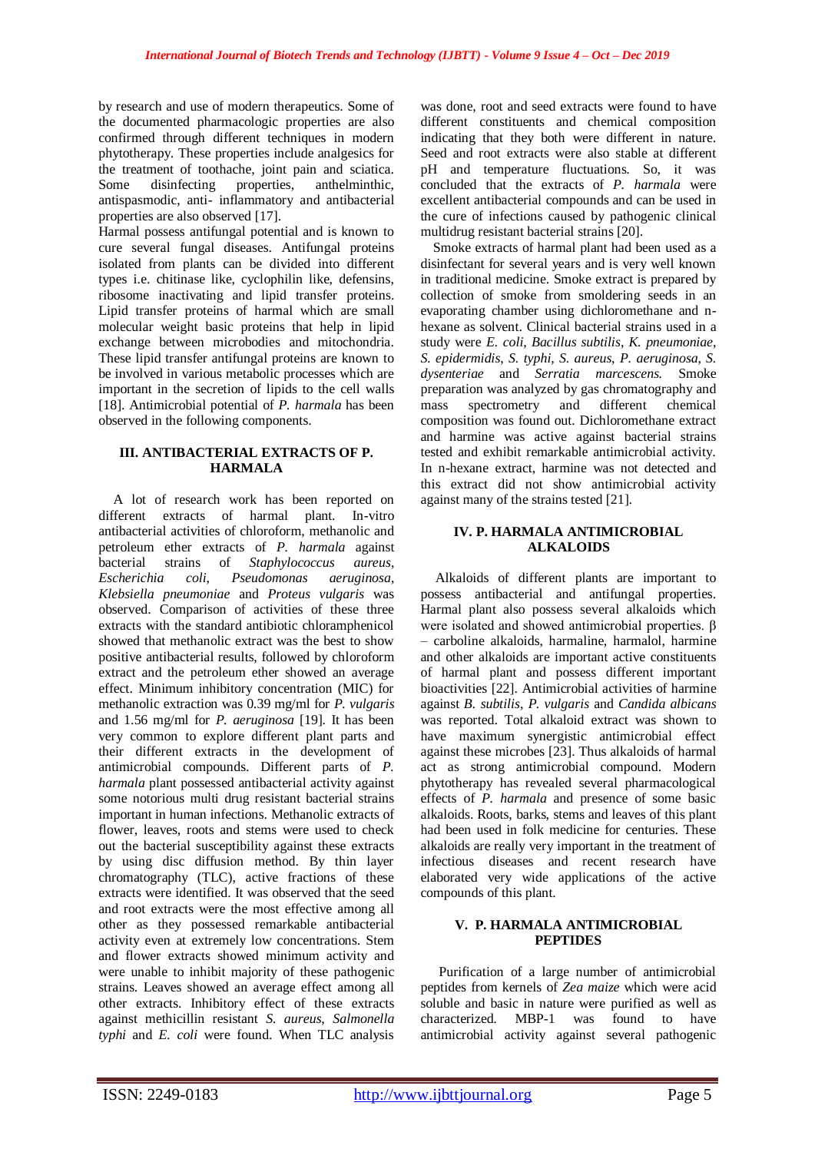by research and use of modern therapeutics. Some of the documented pharmacologic properties are also confirmed through different techniques in modern phytotherapy. These properties include analgesics for the treatment of toothache, joint pain and sciatica. Some disinfecting properties, anthelminthic, antispasmodic, anti- inflammatory and antibacterial properties are also observed [17].

Harmal possess antifungal potential and is known to cure several fungal diseases. Antifungal proteins isolated from plants can be divided into different types i.e. chitinase like, cyclophilin like, defensins, ribosome inactivating and lipid transfer proteins. Lipid transfer proteins of harmal which are small molecular weight basic proteins that help in lipid exchange between microbodies and mitochondria. These lipid transfer antifungal proteins are known to be involved in various metabolic processes which are important in the secretion of lipids to the cell walls [18]. Antimicrobial potential of *P. harmala* has been observed in the following components.

# **III. ANTIBACTERIAL EXTRACTS OF P. HARMALA**

A lot of research work has been reported on different extracts of harmal plant. In-vitro antibacterial activities of chloroform, methanolic and petroleum ether extracts of *P. harmala* against bacterial strains of *Staphylococcus aureus*, *Escherichia coli*, *Pseudomonas aeruginosa*, *Klebsiella pneumoniae* and *Proteus vulgaris* was observed. Comparison of activities of these three extracts with the standard antibiotic chloramphenicol showed that methanolic extract was the best to show positive antibacterial results, followed by chloroform extract and the petroleum ether showed an average effect. Minimum inhibitory concentration (MIC) for methanolic extraction was 0.39 mg/ml for *P. vulgaris* and 1.56 mg/ml for *P. aeruginosa* [19]. It has been very common to explore different plant parts and their different extracts in the development of antimicrobial compounds. Different parts of *P. harmala* plant possessed antibacterial activity against some notorious multi drug resistant bacterial strains important in human infections. Methanolic extracts of flower, leaves, roots and stems were used to check out the bacterial susceptibility against these extracts by using disc diffusion method. By thin layer chromatography (TLC), active fractions of these extracts were identified. It was observed that the seed and root extracts were the most effective among all other as they possessed remarkable antibacterial activity even at extremely low concentrations. Stem and flower extracts showed minimum activity and were unable to inhibit majority of these pathogenic strains. Leaves showed an average effect among all other extracts. Inhibitory effect of these extracts against methicillin resistant *S. aureus*, *Salmonella typhi* and *E. coli* were found. When TLC analysis

was done, root and seed extracts were found to have different constituents and chemical composition indicating that they both were different in nature. Seed and root extracts were also stable at different pH and temperature fluctuations. So, it was concluded that the extracts of *P. harmala* were excellent antibacterial compounds and can be used in the cure of infections caused by pathogenic clinical multidrug resistant bacterial strains [20].

Smoke extracts of harmal plant had been used as a disinfectant for several years and is very well known in traditional medicine. Smoke extract is prepared by collection of smoke from smoldering seeds in an evaporating chamber using dichloromethane and nhexane as solvent. Clinical bacterial strains used in a study were *E. coli*, *Bacillus subtilis*, *K. pneumoniae*, *S. epidermidis*, *S. typhi*, *S. aureus*, *P. aeruginosa*, *S. dysenteriae* and *Serratia marcescens.* Smoke preparation was analyzed by gas chromatography and mass spectrometry and different chemical composition was found out. Dichloromethane extract and harmine was active against bacterial strains tested and exhibit remarkable antimicrobial activity. In n-hexane extract, harmine was not detected and this extract did not show antimicrobial activity against many of the strains tested [21].

### **IV. P. HARMALA ANTIMICROBIAL ALKALOIDS**

Alkaloids of different plants are important to possess antibacterial and antifungal properties. Harmal plant also possess several alkaloids which were isolated and showed antimicrobial properties. β – carboline alkaloids, harmaline, harmalol, harmine and other alkaloids are important active constituents of harmal plant and possess different important bioactivities [22]. Antimicrobial activities of harmine against *B. subtilis*, *P. vulgaris* and *Candida albicans* was reported. Total alkaloid extract was shown to have maximum synergistic antimicrobial effect against these microbes [23]. Thus alkaloids of harmal act as strong antimicrobial compound. Modern phytotherapy has revealed several pharmacological effects of *P. harmala* and presence of some basic alkaloids. Roots, barks, stems and leaves of this plant had been used in folk medicine for centuries. These alkaloids are really very important in the treatment of infectious diseases and recent research have elaborated very wide applications of the active compounds of this plant.

# **V. P. HARMALA ANTIMICROBIAL PEPTIDES**

Purification of a large number of antimicrobial peptides from kernels of *Zea maize* which were acid soluble and basic in nature were purified as well as characterized. MBP-1 was found to have antimicrobial activity against several pathogenic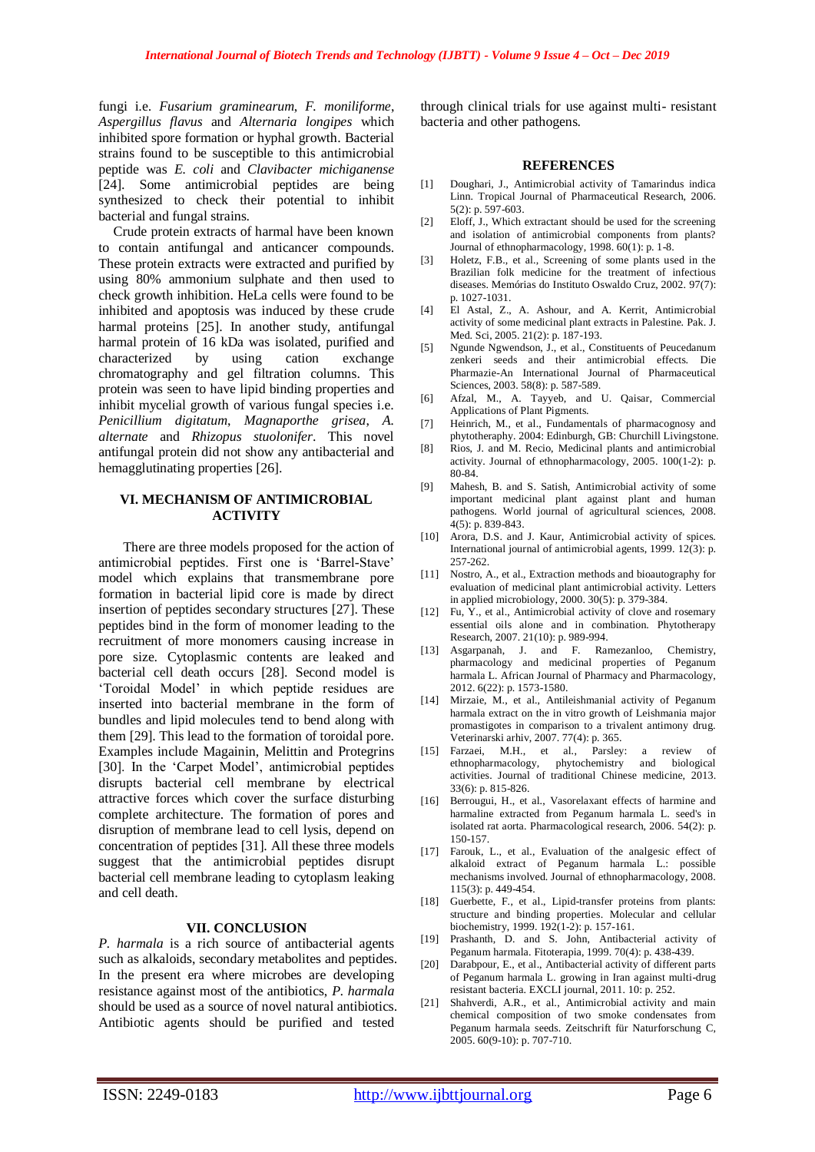fungi i.e. *Fusarium graminearum*, *F. moniliforme*, *Aspergillus flavus* and *Alternaria longipes* which inhibited spore formation or hyphal growth. Bacterial strains found to be susceptible to this antimicrobial peptide was *E. coli* and *Clavibacter michiganense* [24]. Some antimicrobial peptides are being synthesized to check their potential to inhibit bacterial and fungal strains.

Crude protein extracts of harmal have been known to contain antifungal and anticancer compounds. These protein extracts were extracted and purified by using 80% ammonium sulphate and then used to check growth inhibition. HeLa cells were found to be inhibited and apoptosis was induced by these crude harmal proteins [25]. In another study, antifungal harmal protein of 16 kDa was isolated, purified and characterized by using cation exchange chromatography and gel filtration columns. This protein was seen to have lipid binding properties and inhibit mycelial growth of various fungal species i.e. *Penicillium digitatum*, *Magnaporthe grisea*, *A. alternate* and *Rhizopus stuolonifer*. This novel antifungal protein did not show any antibacterial and hemagglutinating properties [26].

## **VI. MECHANISM OF ANTIMICROBIAL ACTIVITY**

There are three models proposed for the action of antimicrobial peptides. First one is 'Barrel-Stave' model which explains that transmembrane pore formation in bacterial lipid core is made by direct insertion of peptides secondary structures [27]. These peptides bind in the form of monomer leading to the recruitment of more monomers causing increase in pore size. Cytoplasmic contents are leaked and bacterial cell death occurs [28]. Second model is 'Toroidal Model' in which peptide residues are inserted into bacterial membrane in the form of bundles and lipid molecules tend to bend along with them [29]. This lead to the formation of toroidal pore. Examples include Magainin, Melittin and Protegrins [30]. In the 'Carpet Model', antimicrobial peptides disrupts bacterial cell membrane by electrical attractive forces which cover the surface disturbing complete architecture. The formation of pores and disruption of membrane lead to cell lysis, depend on concentration of peptides [31]. All these three models suggest that the antimicrobial peptides disrupt bacterial cell membrane leading to cytoplasm leaking and cell death.

#### **VII. CONCLUSION**

*P. harmala* is a rich source of antibacterial agents such as alkaloids, secondary metabolites and peptides. In the present era where microbes are developing resistance against most of the antibiotics, *P. harmala* should be used as a source of novel natural antibiotics. Antibiotic agents should be purified and tested

through clinical trials for use against multi- resistant bacteria and other pathogens.

#### **REFERENCES**

- [1] Doughari, J., Antimicrobial activity of Tamarindus indica Linn. Tropical Journal of Pharmaceutical Research, 2006. 5(2): p. 597-603.
- [2] Eloff, J., Which extractant should be used for the screening and isolation of antimicrobial components from plants? Journal of ethnopharmacology, 1998. 60(1): p. 1-8.
- [3] Holetz, F.B., et al., Screening of some plants used in the Brazilian folk medicine for the treatment of infectious diseases. Memórias do Instituto Oswaldo Cruz, 2002. 97(7): p. 1027-1031.
- [4] El Astal, Z., A. Ashour, and A. Kerrit, Antimicrobial activity of some medicinal plant extracts in Palestine. Pak. J. Med. Sci, 2005. 21(2): p. 187-193.
- [5] Ngunde Ngwendson, J., et al., Constituents of Peucedanum zenkeri seeds and their antimicrobial effects. Die Pharmazie-An International Journal of Pharmaceutical Sciences, 2003, 58(8): p. 587-589.
- [6] Afzal, M., A. Tayyeb, and U. Qaisar, Commercial Applications of Plant Pigments.
- [7] Heinrich, M., et al., Fundamentals of pharmacognosy and phytotheraphy. 2004: Edinburgh, GB: Churchill Livingstone.
- [8] Rios, J. and M. Recio, Medicinal plants and antimicrobial activity. Journal of ethnopharmacology, 2005. 100(1-2): p. 80-84.
- [9] Mahesh, B. and S. Satish, Antimicrobial activity of some important medicinal plant against plant and human pathogens. World journal of agricultural sciences, 2008. 4(5): p. 839-843.
- [10] Arora, D.S. and J. Kaur, Antimicrobial activity of spices. International journal of antimicrobial agents, 1999. 12(3): p. 257-262.
- [11] Nostro, A., et al., Extraction methods and bioautography for evaluation of medicinal plant antimicrobial activity. Letters in applied microbiology, 2000. 30(5): p. 379-384.
- [12] Fu, Y., et al., Antimicrobial activity of clove and rosemary essential oils alone and in combination. Phytotherapy Research, 2007. 21(10): p. 989-994.
- [13] Asgarpanah, J. and F. Ramezanloo, Chemistry, pharmacology and medicinal properties of Peganum harmala L. African Journal of Pharmacy and Pharmacology, 2012. 6(22): p. 1573-1580.
- [14] Mirzaie, M., et al., Antileishmanial activity of Peganum harmala extract on the in vitro growth of Leishmania major promastigotes in comparison to a trivalent antimony drug. Veterinarski arhiv, 2007. 77(4): p. 365.
- [15] Farzaei, M.H., et al., Parsley: a review of ethnopharmacology, phytochemistry and biological activities. Journal of traditional Chinese medicine, 2013. 33(6): p. 815-826.
- [16] Berrougui, H., et al., Vasorelaxant effects of harmine and harmaline extracted from Peganum harmala L. seed's in isolated rat aorta. Pharmacological research, 2006. 54(2): p. 150-157.
- [17] Farouk, L., et al., Evaluation of the analgesic effect of alkaloid extract of Peganum harmala L.: possible mechanisms involved. Journal of ethnopharmacology, 2008. 115(3): p. 449-454.
- [18] Guerbette, F., et al., Lipid-transfer proteins from plants: structure and binding properties. Molecular and cellular biochemistry, 1999. 192(1-2): p. 157-161.
- [19] Prashanth, D. and S. John, Antibacterial activity of Peganum harmala. Fitoterapia, 1999. 70(4): p. 438-439.
- [20] Darabpour, E., et al., Antibacterial activity of different parts of Peganum harmala L. growing in Iran against multi-drug resistant bacteria. EXCLI journal, 2011. 10: p. 252.
- [21] Shahverdi, A.R., et al., Antimicrobial activity and main chemical composition of two smoke condensates from Peganum harmala seeds. Zeitschrift für Naturforschung C, 2005. 60(9-10): p. 707-710.